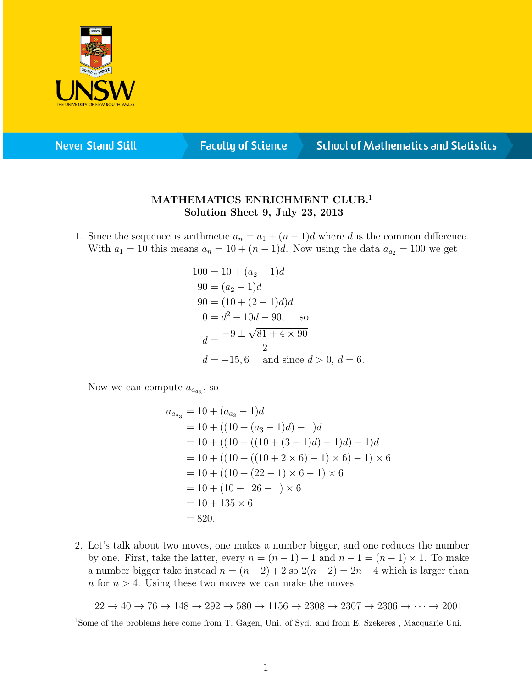

**Never Stand Still** 

**Faculty of Science** 

## **School of Mathematics and Statistics**

## MATHEMATICS ENRICHMENT CLUB.<sup>1</sup> Solution Sheet 9, July 23, 2013

1. Since the sequence is arithmetic  $a_n = a_1 + (n-1)d$  where d is the common difference. With  $a_1 = 10$  this means  $a_n = 10 + (n-1)d$ . Now using the data  $a_{a_2} = 100$  we get

$$
100 = 10 + (a_2 - 1)d
$$
  
\n
$$
90 = (a_2 - 1)d
$$
  
\n
$$
90 = (10 + (2 - 1)d)d
$$
  
\n
$$
0 = d^2 + 10d - 90
$$
, so  
\n
$$
d = \frac{-9 \pm \sqrt{81 + 4 \times 90}}{2}
$$
  
\n
$$
d = -15, 6
$$
 and since  $d > 0, d = 6$ .

Now we can compute  $a_{a_{a_3}}$ , so

$$
a_{a_{a_{3}}} = 10 + (a_{a_{3}} - 1)d
$$
  
= 10 + ((10 + (a\_{3} - 1)d) - 1)d  
= 10 + ((10 + ((10 + (3 - 1)d) - 1)d) - 1)d  
= 10 + ((10 + ((10 + 2 \times 6) - 1) \times 6) - 1) \times 6  
= 10 + ((10 + (22 - 1) \times 6 - 1) \times 6  
= 10 + (10 + 126 - 1) \times 6  
= 10 + 135 \times 6  
= 820.

2. Let's talk about two moves, one makes a number bigger, and one reduces the number by one. First, take the latter, every  $n = (n-1) + 1$  and  $n-1 = (n-1) \times 1$ . To make a number bigger take instead  $n = (n-2) + 2$  so  $2(n-2) = 2n - 4$  which is larger than n for  $n > 4$ . Using these two moves we can make the moves

 $22 \rightarrow 40 \rightarrow 76 \rightarrow 148 \rightarrow 292 \rightarrow 580 \rightarrow 1156 \rightarrow 2308 \rightarrow 2307 \rightarrow 2306 \rightarrow \cdots \rightarrow 2001$ 

<sup>&</sup>lt;sup>1</sup>Some of the problems here come from T. Gagen, Uni. of Syd. and from E. Szekeres, Macquarie Uni.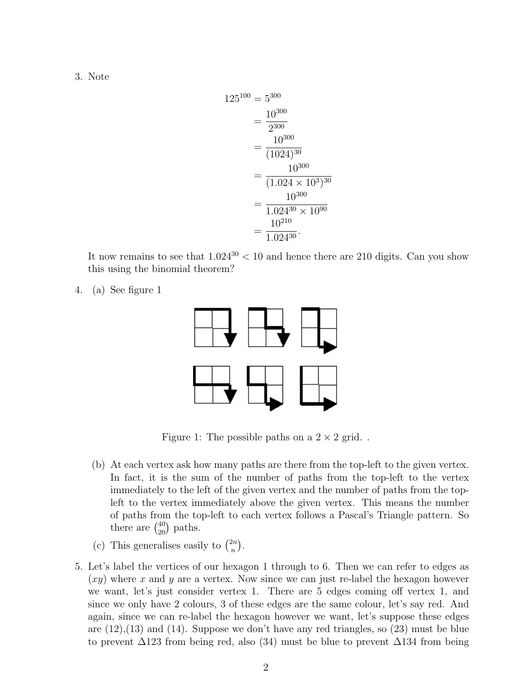3. Note

$$
125^{100} = 5^{300}
$$
  
= 
$$
\frac{10^{300}}{2^{300}}
$$
  
= 
$$
\frac{10^{300}}{(1024)^{30}}
$$
  
= 
$$
\frac{10^{300}}{(1.024 \times 10^3)^{30}}
$$
  
= 
$$
\frac{10^{300}}{1.024^{30} \times 10^{90}}
$$
  
= 
$$
\frac{10^{210}}{1.024^{30}}
$$

It now remains to see that  $1.024^{30} < 10$  and hence there are 210 digits. Can you show this using the binomial theorem?

4. (a) See figure 1



Figure 1: The possible paths on a  $2 \times 2$  grid...

- (b) At each vertex ask how many paths are there from the top-left to the given vertex. In fact, it is the sum of the number of paths from the top-left to the vertex immediately to the left of the given vertex and the number of paths from the topleft to the vertex immediately above the given vertex. This means the number of paths from the top-left to each vertex follows a Pascal's Triangle pattern. So there are  $\binom{40}{20}$  paths.
- (c) This generalises easily to  $\binom{2n}{n}$  $\binom{2n}{n}$ .
- 5. Let's label the vertices of our hexagon 1 through to 6. Then we can refer to edges as  $(xy)$  where x and y are a vertex. Now since we can just re-label the hexagon however we want, let's just consider vertex 1. There are 5 edges coming off vertex 1, and since we only have 2 colours, 3 of these edges are the same colour, let's say red. And again, since we can re-label the hexagon however we want, let's suppose these edges are  $(12),(13)$  and  $(14)$ . Suppose we don't have any red triangles, so  $(23)$  must be blue to prevent  $\Delta$ 123 from being red, also (34) must be blue to prevent  $\Delta$ 134 from being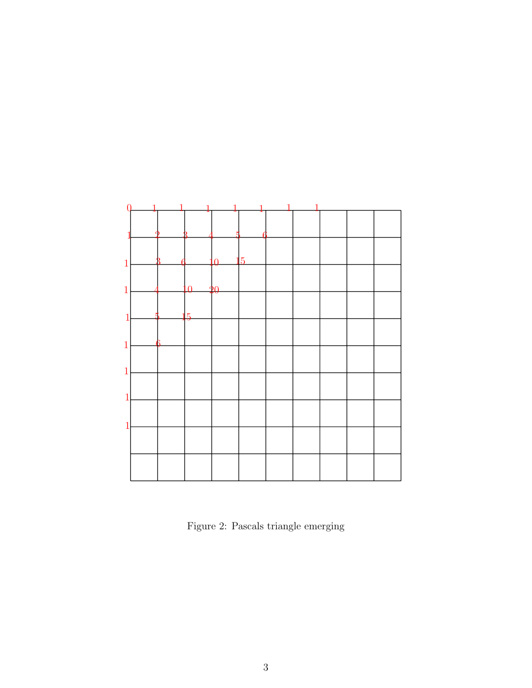

Figure 2: Pascals triangle emerging